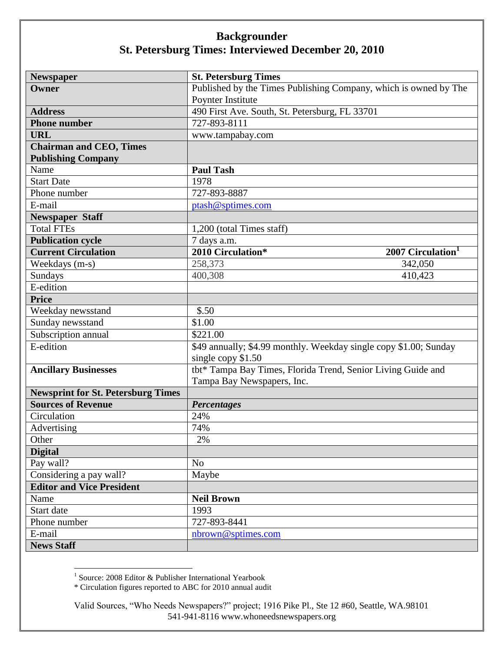| <b>Newspaper</b>                          | <b>St. Petersburg Times</b>                                       |
|-------------------------------------------|-------------------------------------------------------------------|
| Owner                                     | Published by the Times Publishing Company, which is owned by The  |
|                                           | Poynter Institute                                                 |
| <b>Address</b>                            | 490 First Ave. South, St. Petersburg, FL 33701                    |
| <b>Phone number</b>                       | 727-893-8111                                                      |
| <b>URL</b>                                | www.tampabay.com                                                  |
| <b>Chairman and CEO, Times</b>            |                                                                   |
| <b>Publishing Company</b>                 |                                                                   |
| Name                                      | <b>Paul Tash</b>                                                  |
| <b>Start Date</b>                         | 1978                                                              |
| Phone number                              | 727-893-8887                                                      |
| E-mail                                    | ptash@sptimes.com                                                 |
| <b>Newspaper Staff</b>                    |                                                                   |
| <b>Total FTEs</b>                         | 1,200 (total Times staff)                                         |
| <b>Publication cycle</b>                  | 7 days a.m.                                                       |
| <b>Current Circulation</b>                | 2010 Circulation*<br>2007 Circulation <sup>1</sup>                |
| Weekdays (m-s)                            | 258,373<br>342,050                                                |
| Sundays                                   | 400,308<br>410,423                                                |
| E-edition                                 |                                                                   |
| <b>Price</b>                              |                                                                   |
| Weekday newsstand                         | \$.50                                                             |
| Sunday newsstand                          | \$1.00                                                            |
| Subscription annual                       | \$221.00                                                          |
| E-edition                                 | \$49 annually; \$4.99 monthly. Weekday single copy \$1.00; Sunday |
|                                           | single copy \$1.50                                                |
| <b>Ancillary Businesses</b>               | tbt* Tampa Bay Times, Florida Trend, Senior Living Guide and      |
|                                           | Tampa Bay Newspapers, Inc.                                        |
| <b>Newsprint for St. Petersburg Times</b> |                                                                   |
| <b>Sources of Revenue</b>                 | <b>Percentages</b>                                                |
| Circulation                               | 24%                                                               |
| Advertising                               | 74%                                                               |
| Other                                     | $2\%$                                                             |
| <b>Digital</b>                            |                                                                   |
| Pay wall?                                 | N <sub>o</sub>                                                    |
| Considering a pay wall?                   | Maybe                                                             |
| <b>Editor and Vice President</b>          |                                                                   |
| Name                                      | <b>Neil Brown</b>                                                 |
| Start date                                | 1993                                                              |
| Phone number                              | 727-893-8441                                                      |
| E-mail                                    | nbrown@sptimes.com                                                |
| <b>News Staff</b>                         |                                                                   |

 1 Source: 2008 Editor & Publisher International Yearbook

<sup>\*</sup> Circulation figures reported to ABC for 2010 annual audit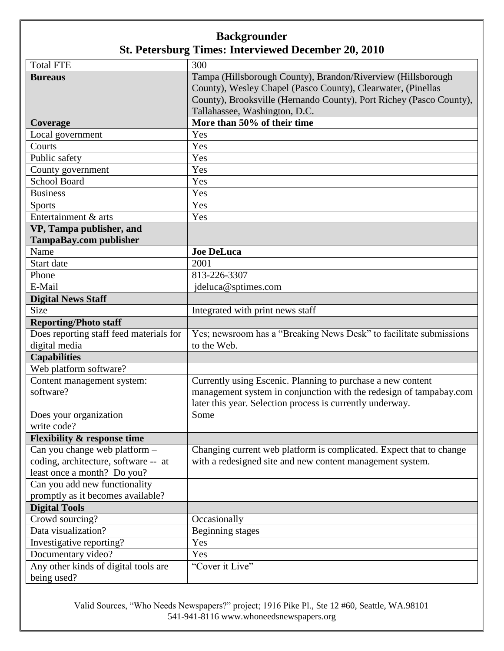| <b>Total FTE</b>                        | 300                                                                 |
|-----------------------------------------|---------------------------------------------------------------------|
| <b>Bureaus</b>                          | Tampa (Hillsborough County), Brandon/Riverview (Hillsborough        |
|                                         | County), Wesley Chapel (Pasco County), Clearwater, (Pinellas        |
|                                         | County), Brooksville (Hernando County), Port Richey (Pasco County), |
|                                         | Tallahassee, Washington, D.C.                                       |
| Coverage                                | More than 50% of their time                                         |
| Local government                        | Yes                                                                 |
| Courts                                  | Yes                                                                 |
| Public safety                           | Yes                                                                 |
| County government                       | Yes                                                                 |
| School Board                            | Yes                                                                 |
| <b>Business</b>                         | Yes                                                                 |
| Sports                                  | Yes                                                                 |
| Entertainment & arts                    | Yes                                                                 |
| VP, Tampa publisher, and                |                                                                     |
| <b>TampaBay.com publisher</b>           |                                                                     |
| Name                                    | <b>Joe DeLuca</b>                                                   |
| Start date                              | 2001                                                                |
| Phone                                   | 813-226-3307                                                        |
| E-Mail                                  | jdeluca@sptimes.com                                                 |
| <b>Digital News Staff</b>               |                                                                     |
| Size                                    | Integrated with print news staff                                    |
| <b>Reporting/Photo staff</b>            |                                                                     |
| Does reporting staff feed materials for | Yes; newsroom has a "Breaking News Desk" to facilitate submissions  |
| digital media                           | to the Web.                                                         |
| <b>Capabilities</b>                     |                                                                     |
| Web platform software?                  |                                                                     |
| Content management system:              | Currently using Escenic. Planning to purchase a new content         |
| software?                               | management system in conjunction with the redesign of tampabay.com  |
|                                         | later this year. Selection process is currently underway.           |
| Does your organization                  | Some                                                                |
| write code?                             |                                                                     |
| <b>Flexibility &amp; response time</b>  |                                                                     |
| Can you change web platform -           | Changing current web platform is complicated. Expect that to change |
| coding, architecture, software -- at    | with a redesigned site and new content management system.           |
| least once a month? Do you?             |                                                                     |
| Can you add new functionality           |                                                                     |
| promptly as it becomes available?       |                                                                     |
| <b>Digital Tools</b>                    |                                                                     |
| Crowd sourcing?                         | Occasionally                                                        |
| Data visualization?                     | Beginning stages                                                    |
| Investigative reporting?                | Yes                                                                 |
| Documentary video?                      | Yes                                                                 |
| Any other kinds of digital tools are    | "Cover it Live"                                                     |
| being used?                             |                                                                     |

Valid Sources, "Who Needs Newspapers?" project; 1916 Pike Pl., Ste 12 #60, Seattle, WA.98101 541-941-8116 www.whoneedsnewspapers.org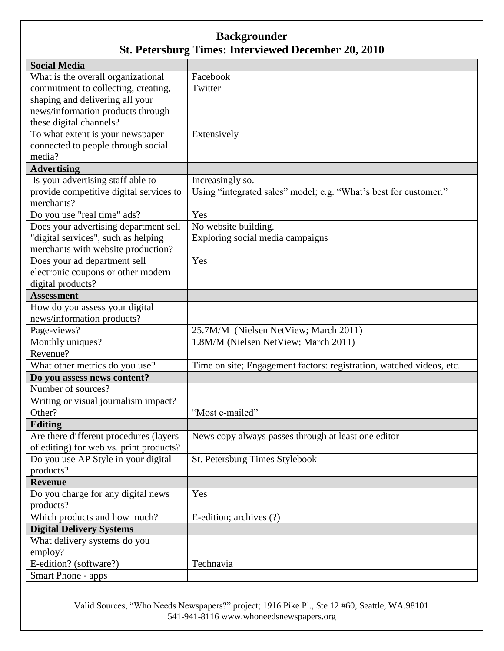| <b>Social Media</b>                     |                                                                      |
|-----------------------------------------|----------------------------------------------------------------------|
| What is the overall organizational      | Facebook                                                             |
| commitment to collecting, creating,     | Twitter                                                              |
| shaping and delivering all your         |                                                                      |
| news/information products through       |                                                                      |
| these digital channels?                 |                                                                      |
| To what extent is your newspaper        | Extensively                                                          |
| connected to people through social      |                                                                      |
| media?                                  |                                                                      |
| <b>Advertising</b>                      |                                                                      |
| Is your advertising staff able to       | Increasingly so.                                                     |
| provide competitive digital services to | Using "integrated sales" model; e.g. "What's best for customer."     |
| merchants?                              |                                                                      |
| Do you use "real time" ads?             | Yes                                                                  |
| Does your advertising department sell   | No website building.                                                 |
| "digital services", such as helping     | Exploring social media campaigns                                     |
| merchants with website production?      |                                                                      |
| Does your ad department sell            | Yes                                                                  |
| electronic coupons or other modern      |                                                                      |
| digital products?                       |                                                                      |
| <b>Assessment</b>                       |                                                                      |
| How do you assess your digital          |                                                                      |
| news/information products?              |                                                                      |
| Page-views?                             | 25.7M/M (Nielsen NetView; March 2011)                                |
| Monthly uniques?                        | 1.8M/M (Nielsen NetView; March 2011)                                 |
| Revenue?                                |                                                                      |
| What other metrics do you use?          | Time on site; Engagement factors: registration, watched videos, etc. |
| Do you assess news content?             |                                                                      |
| Number of sources?                      |                                                                      |
| Writing or visual journalism impact?    |                                                                      |
| Other?                                  | "Most e-mailed"                                                      |
| Editing                                 |                                                                      |
| Are there different procedures (layers  | News copy always passes through at least one editor                  |
| of editing) for web vs. print products? |                                                                      |
| Do you use AP Style in your digital     | St. Petersburg Times Stylebook                                       |
| products?                               |                                                                      |
| <b>Revenue</b>                          |                                                                      |
| Do you charge for any digital news      | Yes                                                                  |
| products?                               |                                                                      |
| Which products and how much?            | E-edition; archives (?)                                              |
| <b>Digital Delivery Systems</b>         |                                                                      |
| What delivery systems do you            |                                                                      |
| employ?                                 |                                                                      |
| E-edition? (software?)                  | Technavia                                                            |
| <b>Smart Phone - apps</b>               |                                                                      |

Valid Sources, "Who Needs Newspapers?" project; 1916 Pike Pl., Ste 12 #60, Seattle, WA.98101 541-941-8116 www.whoneedsnewspapers.org